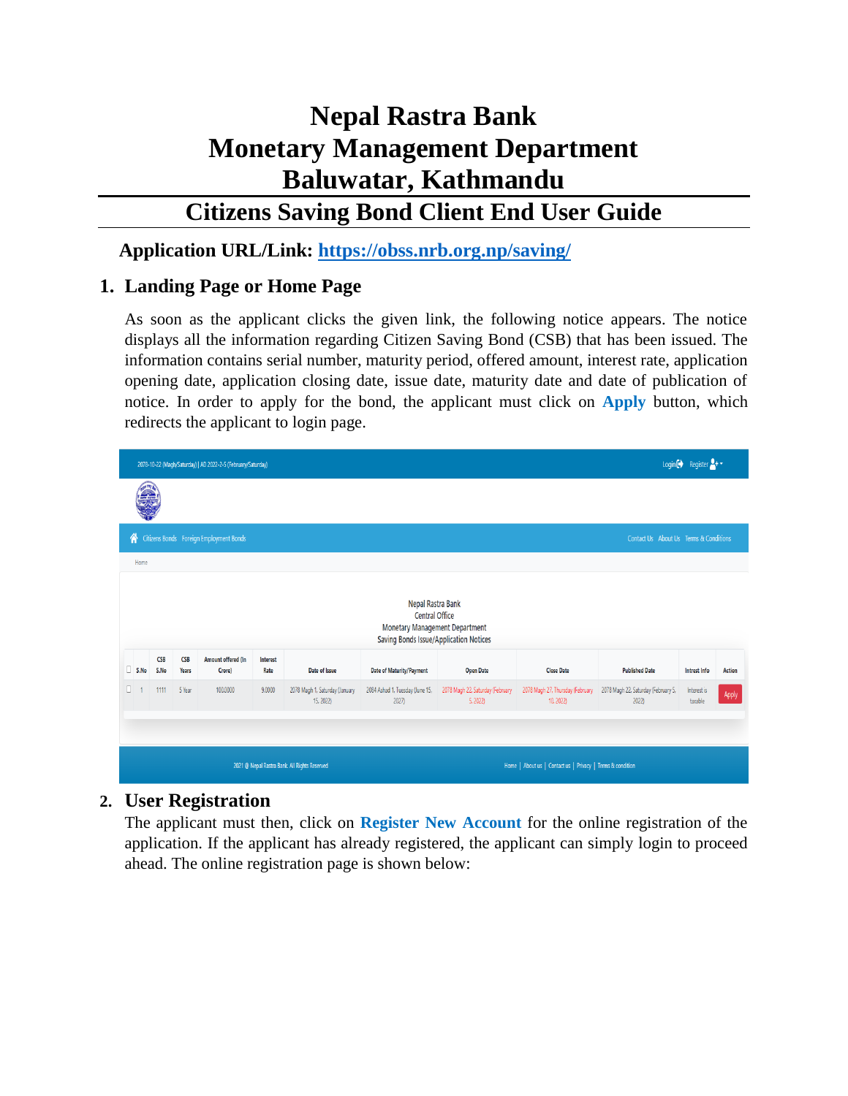# **Nepal Rastra Bank Monetary Management Department Baluwatar, Kathmandu**

# **Citizens Saving Bond Client End User Guide**

## **Application URL/Link:<https://obss.nrb.org.np/saving/>**

# **1. Landing Page or Home Page**

As soon as the applicant clicks the given link, the following notice appears. The notice displays all the information regarding Citizen Saving Bond (CSB) that has been issued. The information contains serial number, maturity period, offered amount, interest rate, application opening date, application closing date, issue date, maturity date and date of publication of notice. In order to apply for the bond, the applicant must click on **Apply** button, which redirects the applicant to login page.

|    | 2078-10-22 (Magh/Saturday)   AD 2022-2-5 (February/Saturday)                                                           |                                                                                                         |        |          |        |                                             |                                          |                                             |                                               |                                             |                        | Login $\bigoplus$ Register $\bigoplus$ + $\bigoplus$ |  |
|----|------------------------------------------------------------------------------------------------------------------------|---------------------------------------------------------------------------------------------------------|--------|----------|--------|---------------------------------------------|------------------------------------------|---------------------------------------------|-----------------------------------------------|---------------------------------------------|------------------------|------------------------------------------------------|--|
|    |                                                                                                                        |                                                                                                         |        |          |        |                                             |                                          |                                             |                                               |                                             |                        |                                                      |  |
|    | ∦<br>Citizens Bonds Foreign Employment Bonds<br>Contact Us About Us Terms & Conditions                                 |                                                                                                         |        |          |        |                                             |                                          |                                             |                                               |                                             |                        |                                                      |  |
|    | Home                                                                                                                   |                                                                                                         |        |          |        |                                             |                                          |                                             |                                               |                                             |                        |                                                      |  |
|    | Nepal Rastra Bank<br><b>Central Office</b><br>Monetary Management Department<br>Saving Bonds Issue/Application Notices |                                                                                                         |        |          |        |                                             |                                          |                                             |                                               |                                             |                        |                                                      |  |
|    | S.No                                                                                                                   | <b>CSB</b><br>Amount offered (In<br>CSB<br>Interest<br>S.No<br>Date of Issue<br>Years<br>Crore)<br>Rate |        |          |        |                                             | Date of Maturity/Payment                 | <b>Open Date</b>                            | <b>Close Date</b>                             | <b>Published Date</b>                       | Intrest Info           | Action                                               |  |
| α. |                                                                                                                        | 1111                                                                                                    | 5 Year | 100.0000 | 9.0000 | 2078 Magh 1, Saturday (January<br>15, 2022) | 2084 Ashad 1, Tuesday (June 15,<br>2027) | 2078 Magh 22, Saturday (February<br>5, 2022 | 2078 Magh 27, Thursday (February<br>10, 2022) | 2078 Magh 22, Saturday (February 5,<br>2022 | Interest is<br>taxable | Apply                                                |  |
|    |                                                                                                                        |                                                                                                         |        |          |        |                                             |                                          |                                             |                                               |                                             |                        |                                                      |  |
|    | Home   About us   Contact us   Privacy   Terms & condition<br>2021 @ Nepal Rastra Bank. All Rights Reserved            |                                                                                                         |        |          |        |                                             |                                          |                                             |                                               |                                             |                        |                                                      |  |

#### **2. User Registration**

The applicant must then, click on **Register New Account** for the online registration of the application. If the applicant has already registered, the applicant can simply login to proceed ahead. The online registration page is shown below: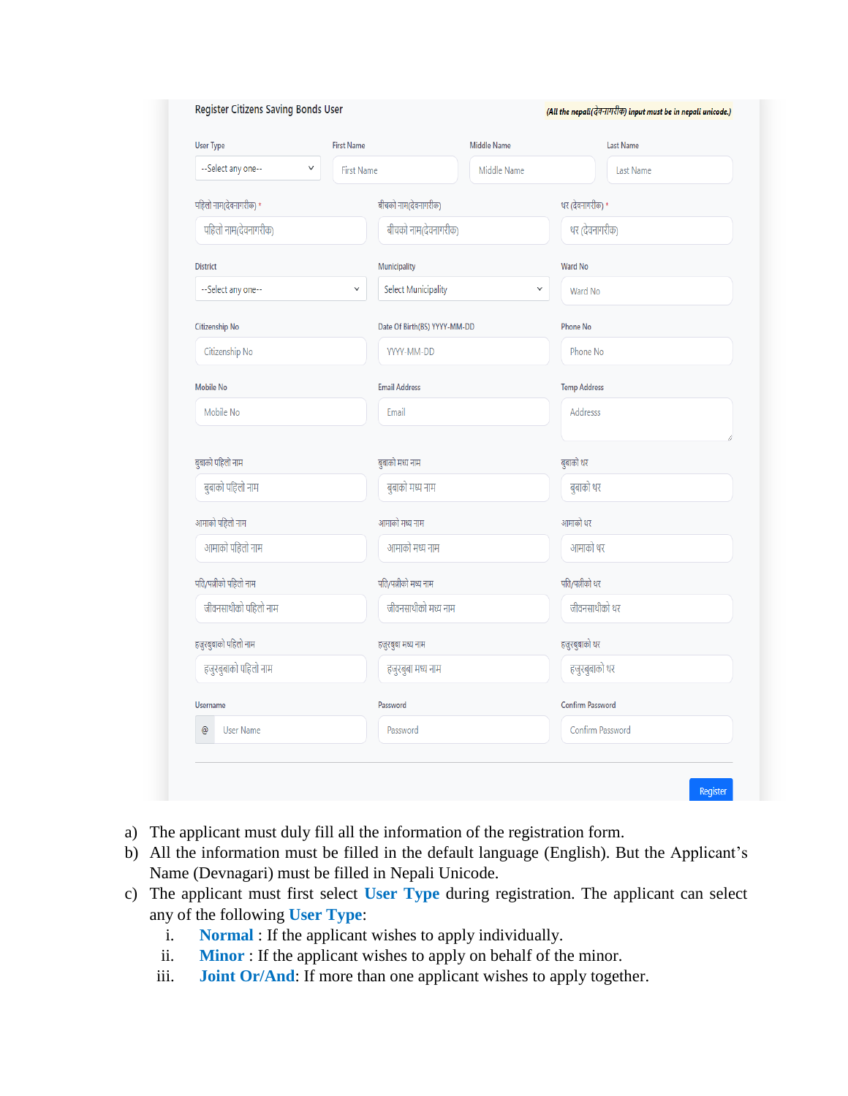| <b>User Type</b>                   | <b>First Name</b>    | <b>Middle Name</b>           |                 | <b>Last Name</b>        |
|------------------------------------|----------------------|------------------------------|-----------------|-------------------------|
| --Select any one--<br>$\checkmark$ | <b>First Name</b>    |                              | Middle Name     | <b>Last Name</b>        |
| पहिलो नाम(देवनागरीक) *             |                      | बीचको नाम(देवनागरीक)         |                 | थर (देवनागरीक) *        |
| पहिलो नाम(देवनागरीक)               |                      | बीचको नाम(देवनागरीक)         |                 | थर (देवनागरीक)          |
| <b>District</b>                    | Municipality         |                              | <b>Ward No</b>  |                         |
| --Select any one--                 | $\checkmark$         | Select Municipality          | v               | Ward No                 |
| <b>Citizenship No</b>              |                      | Date Of Birth(BS) YYYY-MM-DD | <b>Phone No</b> |                         |
| Citizenship No                     |                      | YYYY-MM-DD                   |                 | Phone No                |
| <b>Mobile No</b>                   | <b>Email Address</b> |                              |                 | <b>Temp Address</b>     |
| Mobile No                          | Email                |                              |                 | <b>Addresss</b>         |
| बुबाको पहिलो नाम                   | बुबाको मध्य नाम      |                              | बुबाको थर       |                         |
| बुबाको पहिलो नाम                   |                      | बुबाको मध्य नाम              |                 | बुबाको थर               |
| आमाको पहिलो नाम                    |                      | आमाको मध्य नाम               | आमाको थर        |                         |
| आमाको पहिलो नाम                    |                      | आमाको मध्य नाम               |                 | आमाको थर                |
| पति/पत्नीको पहिलो नाम              |                      | पति/पत्नीको मध्य नाम         |                 | पति/पत्नीको थर          |
| जीवनसाथीको पहिलो नाम               |                      | जीवनसाथीको मध्य नाम          |                 | जीवनसाथीको थर           |
| हजुरबुबाको पहिलो नाम               |                      | हजुरबुबा मध्य नाम            |                 | हजुरबुबाको थर           |
| हजुरबुबाको पहिलो नाम               |                      | हजुरबुबा मध्य नाम            |                 | हजुरबुबाको थर           |
| <b>Username</b>                    | Password             |                              |                 | <b>Confirm Password</b> |
| $^\copyright$<br><b>User Name</b>  |                      | Password                     |                 | Confirm Password        |

- a) The applicant must duly fill all the information of the registration form.
- b) All the information must be filled in the default language (English). But the Applicant's Name (Devnagari) must be filled in Nepali Unicode.
- c) The applicant must first select **User Type** during registration. The applicant can select any of the following **User Type**:
	- i. **Normal** : If the applicant wishes to apply individually.
	- ii. **Minor** : If the applicant wishes to apply on behalf of the minor.
	- iii. **Joint Or/And**: If more than one applicant wishes to apply together.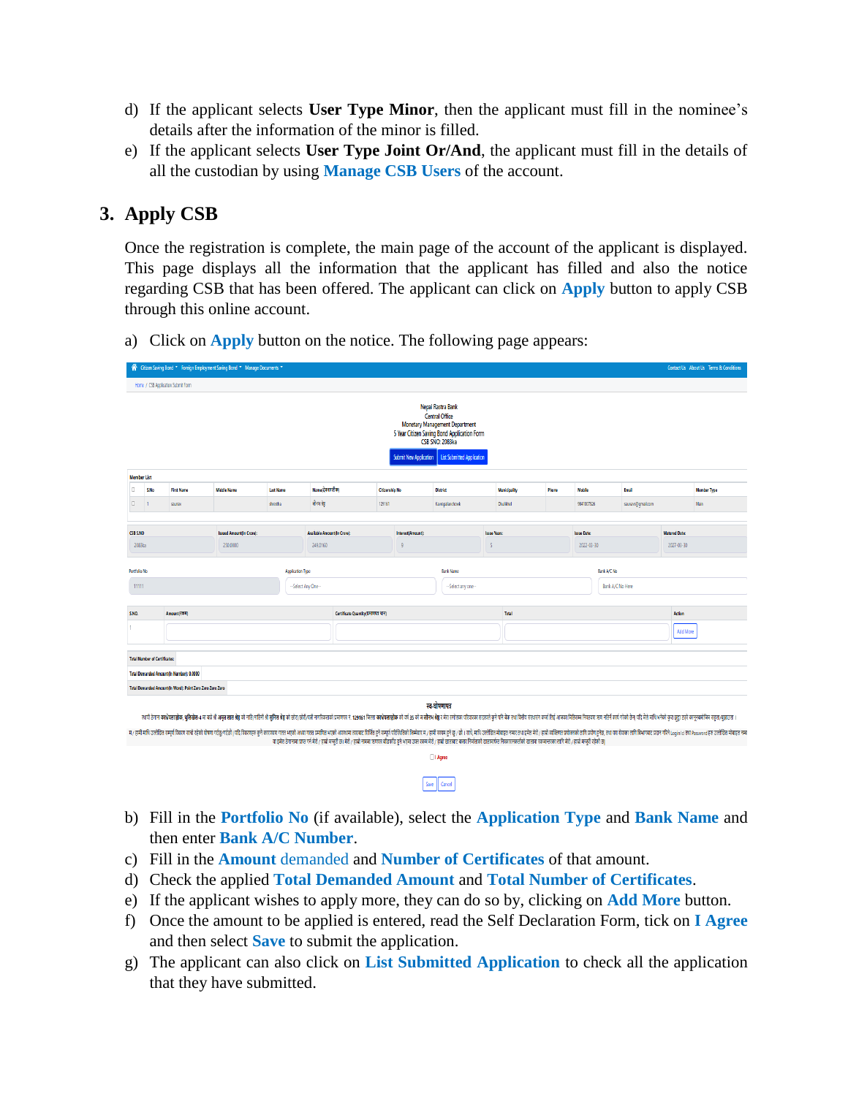- d) If the applicant selects **User Type Minor**, then the applicant must fill in the nominee's details after the information of the minor is filled.
- e) If the applicant selects **User Type Joint Or/And**, the applicant must fill in the details of all the custodian by using **Manage CSB Users** of the account.

#### **3. Apply CSB**

Once the registration is complete, the main page of the account of the applicant is displayed. This page displays all the information that the applicant has filled and also the notice regarding CSB that has been offered. The applicant can click on **Apply** button to apply CSB through this online account.

- me / CSB Application Submit Form Nepal Rastra Bank Central Office<br>Monetary Management Department S Year Citizen Saving Bond Application Form Member List O. s.No **First Name Last Name** .<br>Name(देवनागरीक Member Type **Citizenship No Phone** Email  $\Box$ .<br>सेनम ख्रे CSB S.NO Issued Amount(In Cr **Australia** Anna .<br>ssue Date **Matured Dat** 2022-03-30 2027-03-30 2083ka 250,0000 249.0160 Bank A/C No Portfolio No **Application Type Bank Name**  $\frac{1}{2}$ -Select Any One--Select any one Bank A/C No Here s.<br>No **Certificate Quantity(प्रमाणपत्र थान) Action** Add More **Total Number of Certificates:** Total Demanded Amount(In Number): 0.0000 Total Demanded Amount(In Word): Point Zero Zero Zero Zero स्व-घोषणापत्र रणा देगन करेसा**तोर, गुतिसेत-** म संश्रे अ**मृत ता शेष्ठ मो**तिनी मैं श्रीत श्रीत श्रीत श्रीत श्रीत श्रीत श्रीत श्रीत श्रीत समित श्रीत समित श्रीत समित श्री गरे को समित श्रीत् र मोना श्रीद मो समित श्रम श्रीत स्वादी मौक ता शिवा वा इमेत ठेगनामा प्राप्त गर्न मेरो / हास्रो मन्युरी छ। मेरो / हास्रो मन्या जाराज कर का सेरो / हास्रो खासाट बनार निर्माताको खासार्थक सिकासनकर्तको खातामा रकमान्तरका लागि मेरो / हास्रो मन्युरी रहेको छ| □ I Agree
- a) Click on **Apply** button on the notice. The following page appears:

b) Fill in the **Portfolio No** (if available), select the **Application Type** and **Bank Name** and then enter **Bank A/C Number**.

 $\begin{tabular}{|c|c|} \hline \textbf{Save} & \textbf{Cancel} \\ \hline \end{tabular}$ 

- c) Fill in the **Amount** demanded and **Number of Certificates** of that amount.
- d) Check the applied **Total Demanded Amount** and **Total Number of Certificates**.
- e) If the applicant wishes to apply more, they can do so by, clicking on **Add More** button.
- f) Once the amount to be applied is entered, read the Self Declaration Form, tick on **I Agree** and then select **Save** to submit the application.
- g) The applicant can also click on **List Submitted Application** to check all the application that they have submitted.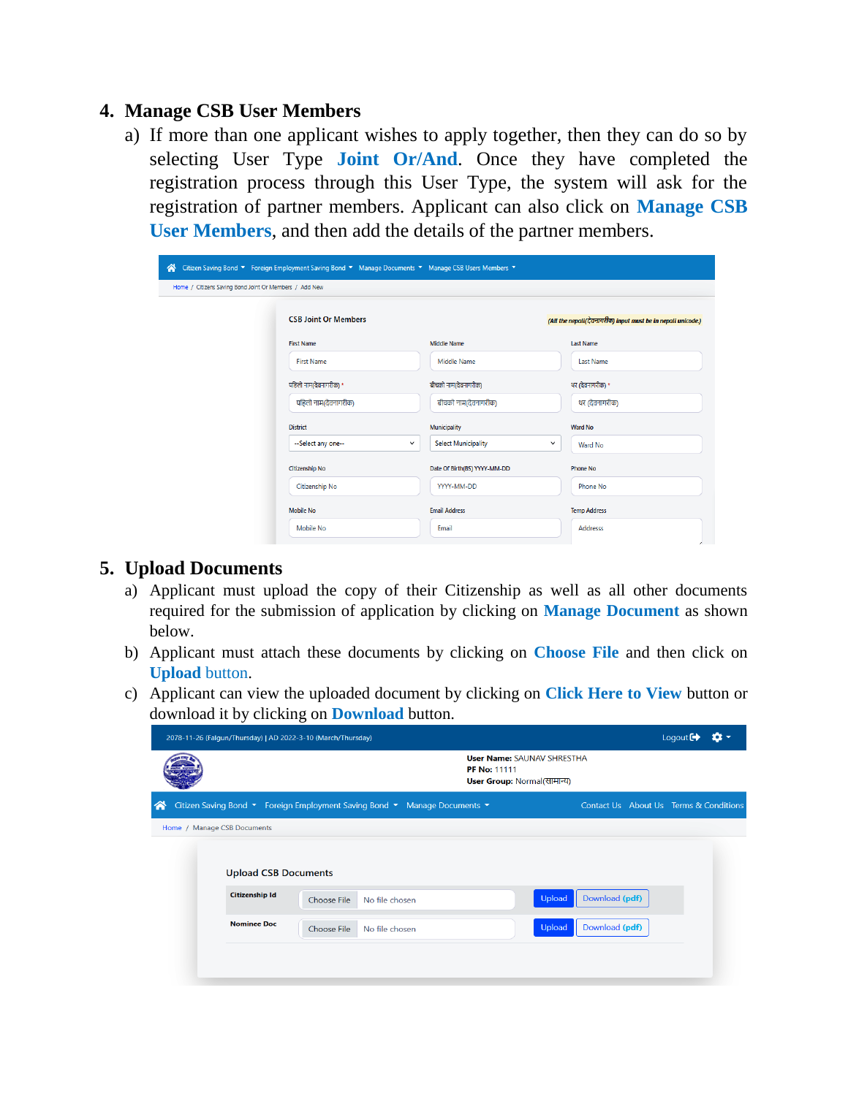#### **4. Manage CSB User Members**

a) If more than one applicant wishes to apply together, then they can do so by selecting User Type **Joint Or/And**. Once they have completed the registration process through this User Type, the system will ask for the registration of partner members. Applicant can also click on **Manage CSB User Members**, and then add the details of the partner members.

| Citizen Saving Bond ▼ Foreign Employment Saving Bond ▼ Manage Documents ▼ Manage CSB Users Members ▼<br>☎<br>Home / Citizens Saving Bond Joint Or Members / Add New |                             |                                            |                                                              |  |  |  |  |  |  |  |
|---------------------------------------------------------------------------------------------------------------------------------------------------------------------|-----------------------------|--------------------------------------------|--------------------------------------------------------------|--|--|--|--|--|--|--|
|                                                                                                                                                                     | <b>CSB Joint Or Members</b> |                                            | (All the nepali(देवनागरीक) input must be in nepali unicode.) |  |  |  |  |  |  |  |
|                                                                                                                                                                     | <b>First Name</b>           | <b>Middle Name</b>                         | <b>Last Name</b>                                             |  |  |  |  |  |  |  |
|                                                                                                                                                                     | <b>First Name</b>           | Middle Name                                | <b>Last Name</b>                                             |  |  |  |  |  |  |  |
|                                                                                                                                                                     | पहिलो नाम(देवनागरीक) *      | बीचको नाम(देवनागरीक)                       | थर (देवनागरीक) *                                             |  |  |  |  |  |  |  |
|                                                                                                                                                                     | पहिलो नाम(देवनागरीक)        | बीचको नाम(देवनागरीक)                       | थर (देवनागरीक)                                               |  |  |  |  |  |  |  |
|                                                                                                                                                                     | <b>District</b>             | <b>Municipality</b>                        | <b>Ward No</b>                                               |  |  |  |  |  |  |  |
|                                                                                                                                                                     | --Select any one--          | <b>Select Municipality</b><br>$\checkmark$ | $\check{~}$<br><b>Ward No</b>                                |  |  |  |  |  |  |  |
|                                                                                                                                                                     | <b>Citizenship No</b>       | Date Of Birth(BS) YYYY-MM-DD               | <b>Phone No</b>                                              |  |  |  |  |  |  |  |
|                                                                                                                                                                     | Citizenship No              | YYYY-MM-DD                                 | Phone No                                                     |  |  |  |  |  |  |  |
|                                                                                                                                                                     | <b>Mobile No</b>            | <b>Email Address</b>                       | <b>Temp Address</b>                                          |  |  |  |  |  |  |  |
|                                                                                                                                                                     | Mobile No                   | Email                                      | <b>Addresss</b>                                              |  |  |  |  |  |  |  |

#### **5. Upload Documents**

- a) Applicant must upload the copy of their Citizenship as well as all other documents required for the submission of application by clicking on **Manage Document** as shown below.
- b) Applicant must attach these documents by clicking on **Choose File** and then click on **Upload** button.
- c) Applicant can view the uploaded document by clicking on **Click Here to View** button or download it by clicking on **Download** button.

|                    | 2078-11-26 (Falgun/Thursday)   AD 2022-3-10 (March/Thursday) |                                                                           |                                                                                         |                                        | Logout $\blacksquare$ |  |
|--------------------|--------------------------------------------------------------|---------------------------------------------------------------------------|-----------------------------------------------------------------------------------------|----------------------------------------|-----------------------|--|
|                    |                                                              |                                                                           | <b>User Name: SAUNAV SHRESTHA</b><br><b>PF No: 11111</b><br>User Group: Normal(सामान्य) |                                        |                       |  |
| $\curvearrowright$ |                                                              | Citizen Saving Bond ▼ Foreign Employment Saving Bond ▼ Manage Documents ▼ |                                                                                         | Contact Us About Us Terms & Conditions |                       |  |
|                    | Home / Manage CSB Documents                                  |                                                                           |                                                                                         |                                        |                       |  |
|                    | <b>Upload CSB Documents</b>                                  |                                                                           |                                                                                         |                                        |                       |  |
|                    | <b>Citizenship Id</b>                                        | No file chosen<br>Choose File                                             | Upload                                                                                  | Download (pdf)                         |                       |  |
|                    | <b>Nominee Doc</b>                                           | Choose File<br>No file chosen                                             | Upload                                                                                  | Download (pdf)                         |                       |  |
|                    |                                                              |                                                                           |                                                                                         |                                        |                       |  |
|                    |                                                              |                                                                           |                                                                                         |                                        |                       |  |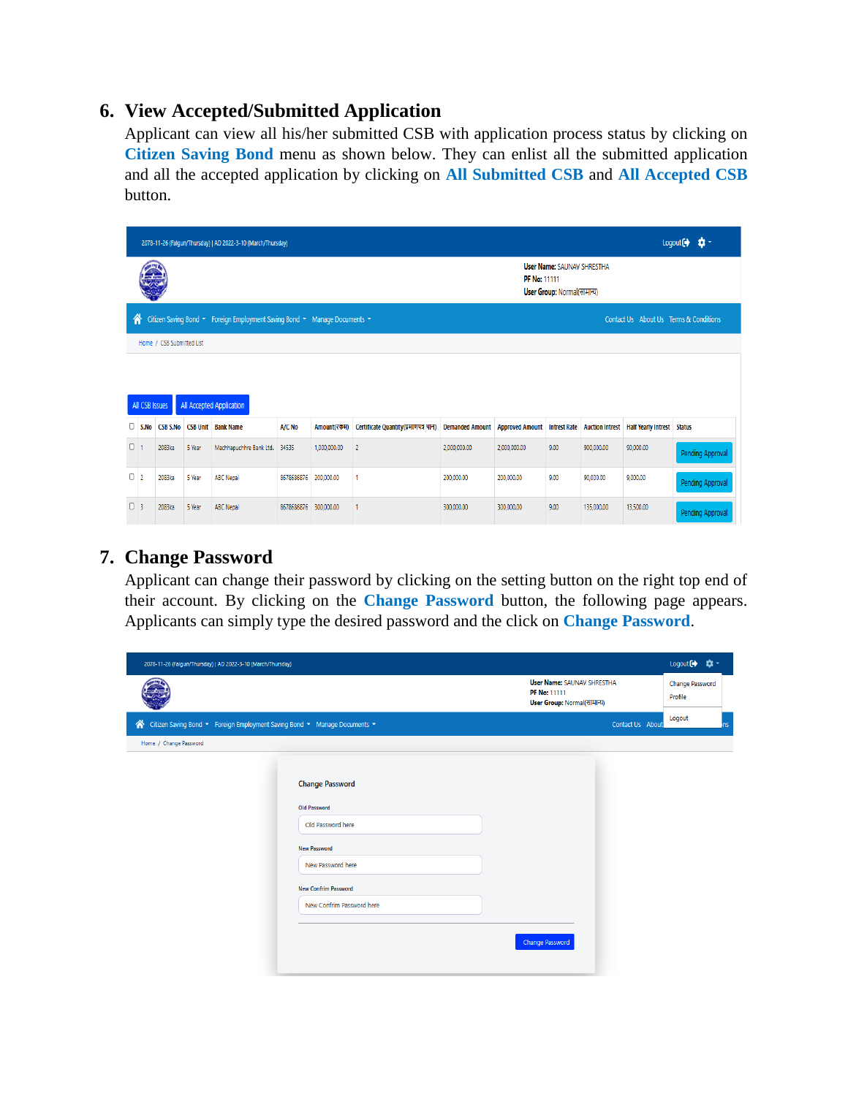## **6. View Accepted/Submitted Application**

Applicant can view all his/her submitted CSB with application process status by clicking on **Citizen Saving Bond** menu as shown below. They can enlist all the submitted application and all the accepted application by clicking on **All Submitted CSB** and **All Accepted CSB** button.

|                | 2078-11-26 (Falgun/Thursday)   AD 2022-3-10 (March/Thursday)                                                             |                           |        |                           |                       |              |                                      |                                        |              |                                                                  |            | Logout $\leftrightarrow$                                |                  |
|----------------|--------------------------------------------------------------------------------------------------------------------------|---------------------------|--------|---------------------------|-----------------------|--------------|--------------------------------------|----------------------------------------|--------------|------------------------------------------------------------------|------------|---------------------------------------------------------|------------------|
|                |                                                                                                                          |                           |        |                           |                       |              |                                      |                                        | PF No: 11111 | <b>User Name: SAUNAV SHRESTHA</b><br>User Group: Normal(सामान्य) |            |                                                         |                  |
|                | Citizen Saving Bond • Foreign Employment Saving Bond • Manage Documents •<br>∧<br>Contact Us About Us Terms & Conditions |                           |        |                           |                       |              |                                      |                                        |              |                                                                  |            |                                                         |                  |
|                |                                                                                                                          | Home / CSB Submitted List |        |                           |                       |              |                                      |                                        |              |                                                                  |            |                                                         |                  |
|                |                                                                                                                          |                           |        |                           |                       |              |                                      |                                        |              |                                                                  |            |                                                         |                  |
|                | All Accepted Application<br>All CSB Issues                                                                               |                           |        |                           |                       |              |                                      |                                        |              |                                                                  |            |                                                         |                  |
|                | $\Box$ S.No                                                                                                              | <b>CSB S.No</b>           |        | <b>CSB Unit Bank Name</b> | A/C No                | Amount(रकम)  | Certificate Quantity(प्रमाणपत्र थान) | <b>Demanded Amount Approved Amount</b> |              |                                                                  |            | Intrest Rate Auction Intrest Half Yearly Intrest Status |                  |
| 0 <sub>1</sub> |                                                                                                                          | 2083ka                    | 5 Year | Machhapuchhre Bank Ltd.   | 34535                 | 1,000,000.00 | $\overline{2}$                       | 2,000,000.00                           | 2,000,000.00 | 9.00                                                             | 900,000.00 | 90,000.00                                               | Pending Approval |
| $\Box$ 2       |                                                                                                                          | 2083ka                    | 5 Year | <b>ABC Nepal</b>          | 8678686876            | 200,000.00   |                                      | 200,000.00                             | 200,000.00   | 9.00                                                             | 90,000.00  | 9.000.00                                                | Pending Approval |
| $\Box$ 3       |                                                                                                                          | 2083ka                    | 5 Year | <b>ABC Nepal</b>          | 8678686876 300,000,00 |              |                                      | 300,000.00                             | 300,000.00   | 9.00                                                             | 135,000.00 | 13,500.00                                               | Pending Approval |

# **7. Change Password**

Applicant can change their password by clicking on the setting button on the right top end of their account. By clicking on the **Change Password** button, the following page appears. Applicants can simply type the desired password and the click on **Change Password**.

| 2078-11-26 (Falgun/Thursday)   AD 2022-3-10 (March/Thursday)                |                             |                                                                                  | Logout<br>ta -             |
|-----------------------------------------------------------------------------|-----------------------------|----------------------------------------------------------------------------------|----------------------------|
|                                                                             |                             | <b>User Name: SAUNAV SHRESTHA</b><br>PF No: 11111<br>User Group: Normal(सामान्य) | Change Password<br>Profile |
| « Citizen Saving Bond ▼ Foreign Employment Saving Bond ▼ Manage Documents ▼ |                             | Contact Us About                                                                 | Logout<br><b>ns</b>        |
| Home / Change Password                                                      |                             |                                                                                  |                            |
|                                                                             |                             |                                                                                  |                            |
|                                                                             | <b>Change Password</b>      |                                                                                  |                            |
|                                                                             | Old Password                |                                                                                  |                            |
|                                                                             | Old Password here           |                                                                                  |                            |
|                                                                             | <b>New Password</b>         |                                                                                  |                            |
|                                                                             | New Password here           |                                                                                  |                            |
|                                                                             | <b>New Confrim Password</b> |                                                                                  |                            |
|                                                                             | New Confrim Password here   |                                                                                  |                            |
|                                                                             |                             | Change Password                                                                  |                            |